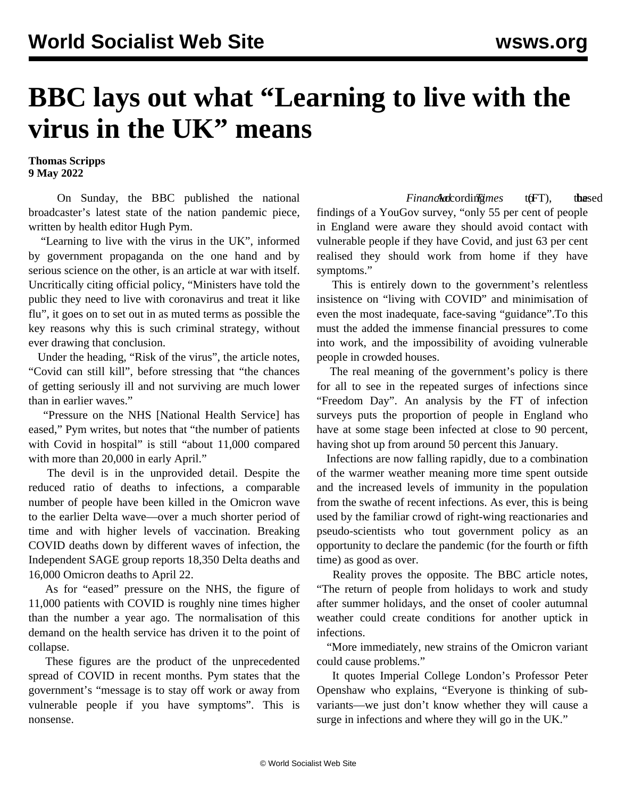## **BBC lays out what "Learning to live with the virus in the UK" means**

**Thomas Scripps 9 May 2022**

 On Sunday, the BBC published the national broadcaster's latest state of the nation pandemic piece, written by health editor Hugh Pym.

 "Learning to live with the virus in the UK", informed by government propaganda on the one hand and by serious science on the other, is an article at war with itself. Uncritically citing official policy, "Ministers have told the public they need to live with coronavirus and treat it like flu", it goes on to set out in as muted terms as possible the key reasons why this is such criminal strategy, without ever drawing that conclusion.

 Under the heading, "Risk of the virus", the article notes, "Covid can still kill", before stressing that "the chances of getting seriously ill and not surviving are much lower than in earlier waves."

 "Pressure on the NHS [National Health Service] has eased," Pym writes, but notes that "the number of patients with Covid in hospital" is still "about 11,000 compared with more than 20,000 in early April."

 The devil is in the unprovided detail. Despite the reduced ratio of deaths to infections, a comparable number of people have been killed in the Omicron wave to the earlier Delta wave—over a much shorter period of time and with higher levels of vaccination. Breaking COVID deaths down by different waves of infection, the Independent SAGE group reports 18,350 Delta deaths and 16,000 Omicron deaths to April 22.

 As for "eased" pressure on the NHS, the figure of 11,000 patients with COVID is roughly nine times higher than the number a year ago. The normalisation of this demand on the health service has driven it [to the point of](/en/articles/2022/04/18/omcj-a18.html) [collapse](/en/articles/2022/04/18/omcj-a18.html).

 These figures are the product of the unprecedented spread of COVID in recent months. Pym states that the government's "message is to stay off work or away from vulnerable people if you have symptoms". This is nonsense.

Financh **c**ke *Financh Following to the intervalsed form following to the sed* findings of a YouGov survey, "only 55 per cent of people in England were aware they should avoid contact with vulnerable people if they have Covid, and just 63 per cent realised they should work from home if they have symptoms."

 This is entirely down to the government's relentless insistence on "living with COVID" and minimisation of even the most inadequate, face-saving "guidance".To this must the added the immense financial pressures to come into work, and the impossibility of avoiding vulnerable people in crowded houses.

 The real meaning of the government's policy is there for all to see in the repeated surges of infections since "Freedom Day". An analysis by the FT of infection surveys puts the proportion of people in England who have at some stage been infected at close to 90 percent, having shot up from around 50 percent this January.

 Infections are now falling rapidly, due to a combination of the warmer weather meaning more time spent outside and the increased levels of immunity in the population from the swathe of recent infections. As ever, this is being used by the familiar crowd of right-wing reactionaries and pseudo-scientists who tout government policy as an opportunity to declare the pandemic (for the fourth or fifth time) as good as over.

 Reality proves the opposite. The BBC article notes, "The return of people from holidays to work and study after summer holidays, and the onset of cooler autumnal weather could create conditions for another uptick in infections.

 "More immediately, new strains of the Omicron variant could cause problems."

 It quotes Imperial College London's Professor Peter Openshaw who explains, "Everyone is thinking of subvariants—we just don't know whether they will cause a surge in infections and where they will go in the UK."